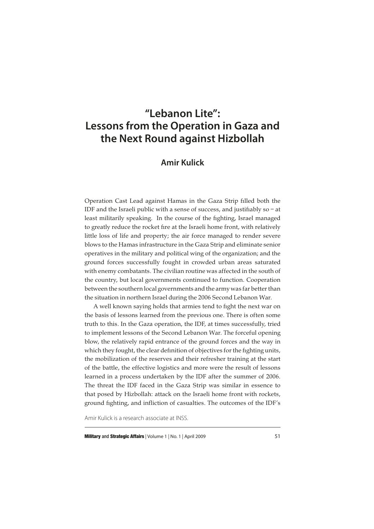# **"Lebanon Lite": Lessons from the Operation in Gaza and the Next Round against Hizbollah**

# **Amir Kulick**

Operation Cast Lead against Hamas in the Gaza Strip filled both the IDF and the Israeli public with a sense of success, and justifiably so – at least militarily speaking. In the course of the fighting, Israel managed to greatly reduce the rocket fire at the Israeli home front, with relatively little loss of life and property; the air force managed to render severe blows to the Hamas infrastructure in the Gaza Strip and eliminate senior operatives in the military and political wing of the organization; and the ground forces successfully fought in crowded urban areas saturated with enemy combatants. The civilian routine was affected in the south of the country, but local governments continued to function. Cooperation between the southern local governments and the army was far better than the situation in northern Israel during the 2006 Second Lebanon War.

A well known saying holds that armies tend to fight the next war on the basis of lessons learned from the previous one. There is often some truth to this. In the Gaza operation, the IDF, at times successfully, tried to implement lessons of the Second Lebanon War. The forceful opening blow, the relatively rapid entrance of the ground forces and the way in which they fought, the clear definition of objectives for the fighting units, the mobilization of the reserves and their refresher training at the start of the battle, the effective logistics and more were the result of lessons learned in a process undertaken by the IDF after the summer of 2006. The threat the IDF faced in the Gaza Strip was similar in essence to that posed by Hizbollah: attack on the Israeli home front with rockets, ground fighting, and infliction of casualties. The outcomes of the IDF's

Amir Kulick is a research associate at INSS.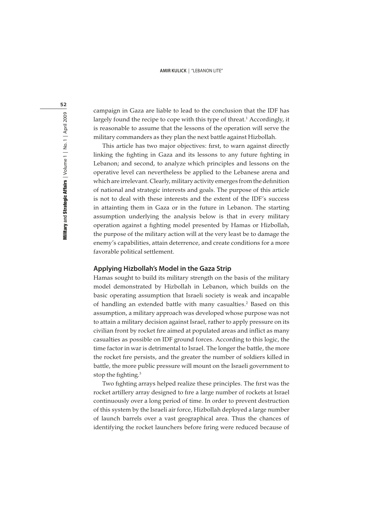campaign in Gaza are liable to lead to the conclusion that the IDF has largely found the recipe to cope with this type of threat.<sup>1</sup> Accordingly, it is reasonable to assume that the lessons of the operation will serve the military commanders as they plan the next battle against Hizbollah.

This article has two major objectives: first, to warn against directly linking the fighting in Gaza and its lessons to any future fighting in Lebanon; and second, to analyze which principles and lessons on the operative level can nevertheless be applied to the Lebanese arena and which are irrelevant. Clearly, military activity emerges from the definition of national and strategic interests and goals. The purpose of this article is not to deal with these interests and the extent of the IDF's success in attainting them in Gaza or in the future in Lebanon. The starting assumption underlying the analysis below is that in every military operation against a fighting model presented by Hamas or Hizbollah, the purpose of the military action will at the very least be to damage the enemy's capabilities, attain deterrence, and create conditions for a more favorable political settlement.

# **Applying Hizbollah's Model in the Gaza Strip**

Hamas sought to build its military strength on the basis of the military model demonstrated by Hizbollah in Lebanon, which builds on the basic operating assumption that Israeli society is weak and incapable of handling an extended battle with many casualties.<sup>2</sup> Based on this assumption, a military approach was developed whose purpose was not to attain a military decision against Israel, rather to apply pressure on its civilian front by rocket fire aimed at populated areas and inflict as many casualties as possible on IDF ground forces. According to this logic, the time factor in war is detrimental to Israel. The longer the battle, the more the rocket fire persists, and the greater the number of soldiers killed in battle, the more public pressure will mount on the Israeli government to stop the fighting.<sup>3</sup>

Two fighting arrays helped realize these principles. The first was the rocket artillery array designed to fire a large number of rockets at Israel continuously over a long period of time. In order to prevent destruction of this system by the Israeli air force, Hizbollah deployed a large number of launch barrels over a vast geographical area. Thus the chances of identifying the rocket launchers before firing were reduced because of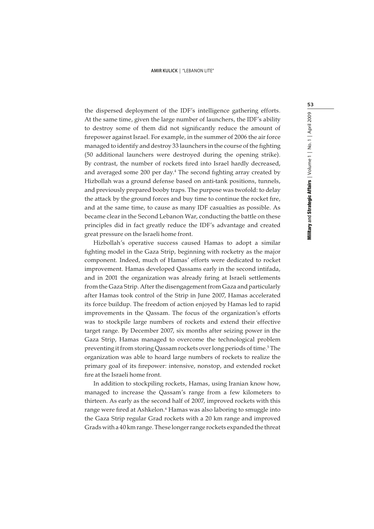the dispersed deployment of the IDF's intelligence gathering efforts. At the same time, given the large number of launchers, the IDF's ability to destroy some of them did not significantly reduce the amount of firepower against Israel. For example, in the summer of 2006 the air force managed to identify and destroy 33 launchers in the course of the fighting (50 additional launchers were destroyed during the opening strike). By contrast, the number of rockets fired into Israel hardly decreased, and averaged some 200 per day.<sup>4</sup> The second fighting array created by Hizbollah was a ground defense based on anti-tank positions, tunnels, and previously prepared booby traps. The purpose was twofold: to delay the attack by the ground forces and buy time to continue the rocket fire, and at the same time, to cause as many IDF casualties as possible. As became clear in the Second Lebanon War, conducting the battle on these principles did in fact greatly reduce the IDF's advantage and created great pressure on the Israeli home front.

Hizbollah's operative success caused Hamas to adopt a similar fighting model in the Gaza Strip, beginning with rocketry as the major component. Indeed, much of Hamas' efforts were dedicated to rocket improvement. Hamas developed Qassams early in the second intifada, and in 2001 the organization was already firing at Israeli settlements from the Gaza Strip. After the disengagement from Gaza and particularly after Hamas took control of the Strip in June 2007, Hamas accelerated its force buildup. The freedom of action enjoyed by Hamas led to rapid improvements in the Qassam. The focus of the organization's efforts was to stockpile large numbers of rockets and extend their effective target range. By December 2007, six months after seizing power in the Gaza Strip, Hamas managed to overcome the technological problem preventing it from storing Qassam rockets over long periods of time.<sup>5</sup> The organization was able to hoard large numbers of rockets to realize the primary goal of its firepower: intensive, nonstop, and extended rocket fire at the Israeli home front.

In addition to stockpiling rockets, Hamas, using Iranian know how, managed to increase the Qassam's range from a few kilometers to thirteen. As early as the second half of 2007, improved rockets with this range were fired at Ashkelon.<sup>6</sup> Hamas was also laboring to smuggle into the Gaza Strip regular Grad rockets with a 20 km range and improved Grads with a 40 km range. These longer range rockets expanded the threat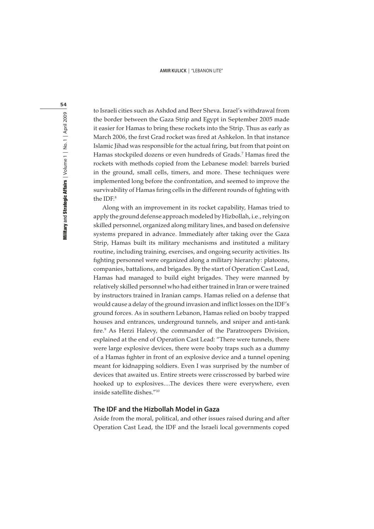Military and Strategic Affairs | Volume 1 | No. 1 | April 2009 Military and Strategic Affairs  $|$  Volume 1  $|$  No. 1  $|$  April 2009

54

to Israeli cities such as Ashdod and Beer Sheva. Israel's withdrawal from the border between the Gaza Strip and Egypt in September 2005 made it easier for Hamas to bring these rockets into the Strip. Thus as early as March 2006, the first Grad rocket was fired at Ashkelon. In that instance Islamic Jihad was responsible for the actual firing, but from that point on Hamas stockpiled dozens or even hundreds of Grads.<sup>7</sup> Hamas fired the rockets with methods copied from the Lebanese model: barrels buried in the ground, small cells, timers, and more. These techniques were implemented long before the confrontation, and seemed to improve the survivability of Hamas firing cells in the different rounds of fighting with the IDF.<sup>8</sup>

Along with an improvement in its rocket capability, Hamas tried to apply the ground defense approach modeled by Hizbollah, i.e., relying on skilled personnel, organized along military lines, and based on defensive systems prepared in advance. Immediately after taking over the Gaza Strip, Hamas built its military mechanisms and instituted a military routine, including training, exercises, and ongoing security activities. Its fighting personnel were organized along a military hierarchy: platoons, companies, battalions, and brigades. By the start of Operation Cast Lead, Hamas had managed to build eight brigades. They were manned by relatively skilled personnel who had either trained in Iran or were trained by instructors trained in Iranian camps. Hamas relied on a defense that would cause a delay of the ground invasion and inflict losses on the IDF's ground forces. As in southern Lebanon, Hamas relied on booby trapped houses and entrances, underground tunnels, and sniper and anti-tank fire.<sup>9</sup> As Herzi Halevy, the commander of the Paratroopers Division, explained at the end of Operation Cast Lead: "There were tunnels, there were large explosive devices, there were booby traps such as a dummy of a Hamas fighter in front of an explosive device and a tunnel opening meant for kidnapping soldiers. Even I was surprised by the number of devices that awaited us. Entire streets were crisscrossed by barbed wire hooked up to explosives….The devices there were everywhere, even inside satellite dishes."<sup>10</sup>

# **The IDF and the Hizbollah Model in Gaza**

Aside from the moral, political, and other issues raised during and after Operation Cast Lead, the IDF and the Israeli local governments coped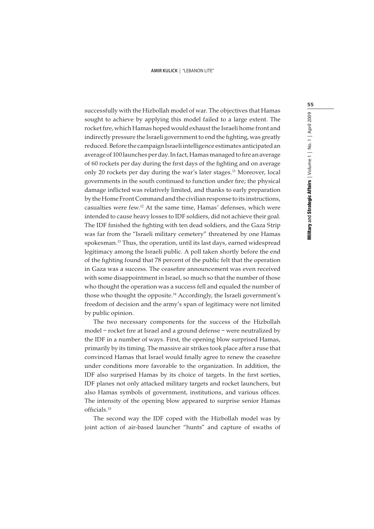successfully with the Hizbollah model of war. The objectives that Hamas sought to achieve by applying this model failed to a large extent. The rocket fire, which Hamas hoped would exhaust the Israeli home front and indirectly pressure the Israeli government to end the fighting, was greatly reduced. Before the campaign Israeli intelligence estimates anticipated an average of 100 launches per day. In fact, Hamas managed to fire an average of 60 rockets per day during the first days of the fighting and on average only 20 rockets per day during the war's later stages.<sup>11</sup> Moreover, local governments in the south continued to function under fire; the physical damage inflicted was relatively limited, and thanks to early preparation by the Home Front Command and the civilian response to its instructions, casualties were few.<sup>12</sup> At the same time, Hamas' defenses, which were intended to cause heavy losses to IDF soldiers, did not achieve their goal. The IDF finished the fighting with ten dead soldiers, and the Gaza Strip was far from the "Israeli military cemetery" threatened by one Hamas spokesman.<sup>13</sup> Thus, the operation, until its last days, earned widespread legitimacy among the Israeli public. A poll taken shortly before the end of the fighting found that 78 percent of the public felt that the operation in Gaza was a success. The ceasefire announcement was even received with some disappointment in Israel, so much so that the number of those who thought the operation was a success fell and equaled the number of those who thought the opposite.<sup>14</sup> Accordingly, the Israeli government's freedom of decision and the army's span of legitimacy were not limited by public opinion.

The two necessary components for the success of the Hizbollah model – rocket fire at Israel and a ground defense – were neutralized by the IDF in a number of ways. First, the opening blow surprised Hamas, primarily by its timing. The massive air strikes took place after a ruse that convinced Hamas that Israel would finally agree to renew the ceasefire under conditions more favorable to the organization. In addition, the IDF also surprised Hamas by its choice of targets. In the first sorties, IDF planes not only attacked military targets and rocket launchers, but also Hamas symbols of government, institutions, and various offices. The intensity of the opening blow appeared to surprise senior Hamas officials.<sup>15</sup>

The second way the IDF coped with the Hizbollah model was by joint action of air-based launcher "hunts" and capture of swaths of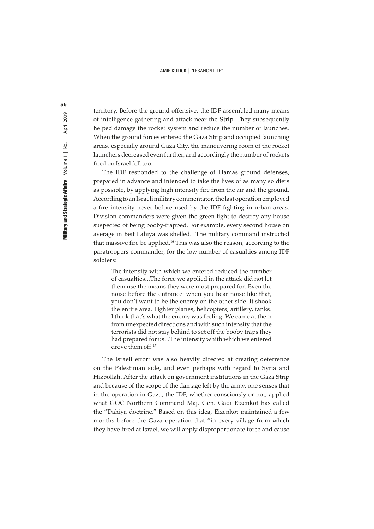territory. Before the ground offensive, the IDF assembled many means of intelligence gathering and attack near the Strip. They subsequently helped damage the rocket system and reduce the number of launches. When the ground forces entered the Gaza Strip and occupied launching areas, especially around Gaza City, the maneuvering room of the rocket launchers decreased even further, and accordingly the number of rockets fired on Israel fell too.

The IDF responded to the challenge of Hamas ground defenses, prepared in advance and intended to take the lives of as many soldiers as possible, by applying high intensity fire from the air and the ground. According to an Israeli military commentator, the last operation employed a fire intensity never before used by the IDF fighting in urban areas. Division commanders were given the green light to destroy any house suspected of being booby-trapped. For example, every second house on average in Beit Lahiya was shelled. The military command instructed that massive fire be applied.<sup>16</sup> This was also the reason, according to the paratroopers commander, for the low number of casualties among IDF soldiers:

The intensity with which we entered reduced the number of casualties…The force we applied in the attack did not let them use the means they were most prepared for. Even the noise before the entrance: when you hear noise like that, you don't want to be the enemy on the other side. It shook the entire area. Fighter planes, helicopters, artillery, tanks. I think that's what the enemy was feeling. We came at them from unexpected directions and with such intensity that the terrorists did not stay behind to set off the booby traps they had prepared for us…The intensity whith which we entered drove them off.<sup>17</sup>

The Israeli effort was also heavily directed at creating deterrence on the Palestinian side, and even perhaps with regard to Syria and Hizbollah. After the attack on government institutions in the Gaza Strip and because of the scope of the damage left by the army, one senses that in the operation in Gaza, the IDF, whether consciously or not, applied what GOC Northern Command Maj. Gen. Gadi Eizenkot has called the "Dahiya doctrine." Based on this idea, Eizenkot maintained a few months before the Gaza operation that "in every village from which they have fired at Israel, we will apply disproportionate force and cause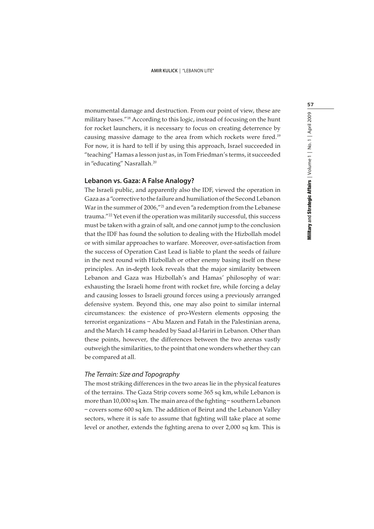monumental damage and destruction. From our point of view, these are military bases."<sup>18</sup> According to this logic, instead of focusing on the hunt for rocket launchers, it is necessary to focus on creating deterrence by causing massive damage to the area from which rockets were fired.<sup>19</sup> For now, it is hard to tell if by using this approach, Israel succeeded in "teaching" Hamas a lesson just as, in Tom Friedman's terms, it succeeded in "educating" Nasrallah.<sup>20</sup>

### **Lebanon vs. Gaza: A False Analogy?**

The Israeli public, and apparently also the IDF, viewed the operation in Gaza as a "corrective to the failure and humiliation of the Second Lebanon War in the summer of 2006,"<sup>21</sup> and even "a redemption from the Lebanese trauma."<sup>22</sup> Yet even if the operation was militarily successful, this success must be taken with a grain of salt, and one cannot jump to the conclusion that the IDF has found the solution to dealing with the Hizbollah model or with similar approaches to warfare. Moreover, over-satisfaction from the success of Operation Cast Lead is liable to plant the seeds of failure in the next round with Hizbollah or other enemy basing itself on these principles. An in-depth look reveals that the major similarity between Lebanon and Gaza was Hizbollah's and Hamas' philosophy of war: exhausting the Israeli home front with rocket fire, while forcing a delay and causing losses to Israeli ground forces using a previously arranged defensive system. Beyond this, one may also point to similar internal circumstances: the existence of pro-Western elements opposing the terrorist organizations – Abu Mazen and Fatah in the Palestinian arena, and the March 14 camp headed by Saad al-Hariri in Lebanon. Other than these points, however, the differences between the two arenas vastly outweigh the similarities, to the point that one wonders whether they can be compared at all.

# The Terrain: Size and Topography

The most striking differences in the two areas lie in the physical features of the terrains. The Gaza Strip covers some 365 sq km,while Lebanon is more than 10,000 sq km. The main area of the fighting – southern Lebanon – covers some 600 sq km. The addition of Beirut and the Lebanon Valley sectors, where it is safe to assume that fighting will take place at some level or another, extends the fighting arena to over 2,000 sq km. This is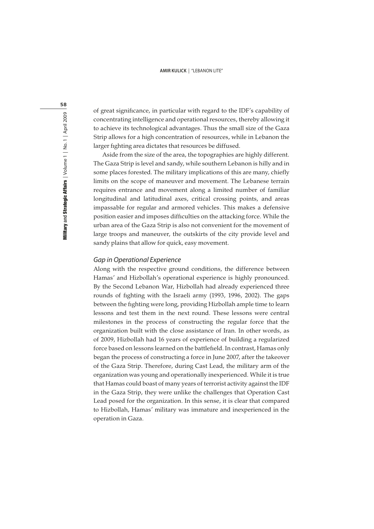of great significance, in particular with regard to the IDF's capability of concentrating intelligence and operational resources, thereby allowing it to achieve its technological advantages. Thus the small size of the Gaza Strip allows for a high concentration of resources, while in Lebanon the larger fighting area dictates that resources be diffused.

Aside from the size of the area, the topographies are highly different. The Gaza Strip is level and sandy, while southern Lebanon is hilly and in some places forested. The military implications of this are many, chiefly limits on the scope of maneuver and movement. The Lebanese terrain requires entrance and movement along a limited number of familiar longitudinal and latitudinal axes, critical crossing points, and areas impassable for regular and armored vehicles. This makes a defensive position easier and imposes difficulties on the attacking force. While the urban area of the Gaza Strip is also not convenient for the movement of large troops and maneuver, the outskirts of the city provide level and sandy plains that allow for quick, easy movement.

### Gap in Operational Experience

Along with the respective ground conditions, the difference between Hamas' and Hizbollah's operational experience is highly pronounced. By the Second Lebanon War, Hizbollah had already experienced three rounds of fighting with the Israeli army (1993, 1996, 2002). The gaps between the fighting were long, providing Hizbollah ample time to learn lessons and test them in the next round. These lessons were central milestones in the process of constructing the regular force that the organization built with the close assistance of Iran. In other words, as of 2009, Hizbollah had 16 years of experience of building a regularized force based on lessons learned on the battlefield. In contrast, Hamas only began the process of constructing a force in June 2007, after the takeover of the Gaza Strip. Therefore, during Cast Lead, the military arm of the organization was young and operationally inexperienced. While it is true that Hamas could boast of many years of terrorist activity against the IDF in the Gaza Strip, they were unlike the challenges that Operation Cast Lead posed for the organization. In this sense, it is clear that compared to Hizbollah, Hamas' military was immature and inexperienced in the operation in Gaza.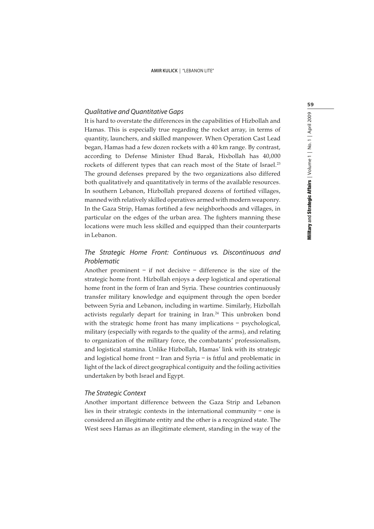# Qualitative and Quantitative Gaps

It is hard to overstate the differences in the capabilities of Hizbollah and Hamas. This is especially true regarding the rocket array, in terms of quantity, launchers, and skilled manpower. When Operation Cast Lead began, Hamas had a few dozen rockets with a 40 km range. By contrast, according to Defense Minister Ehud Barak, Hixbollah has 40,000 rockets of different types that can reach most of the State of Israel.<sup>23</sup> The ground defenses prepared by the two organizations also differed both qualitatively and quantitatively in terms of the available resources. In southern Lebanon, Hizbollah prepared dozens of fortified villages, manned with relatively skilled operatives armed with modern weaponry. In the Gaza Strip, Hamas fortified a few neighborhoods and villages, in particular on the edges of the urban area. The fighters manning these locations were much less skilled and equipped than their counterparts in Lebanon.

# The Strategic Home Front: Continuous vs. Discontinuous and Problematic

Another prominent – if not decisive – difference is the size of the strategic home front. Hizbollah enjoys a deep logistical and operational home front in the form of Iran and Syria. These countries continuously transfer military knowledge and equipment through the open border between Syria and Lebanon, including in wartime. Similarly, Hizbollah activists regularly depart for training in Iran.<sup>24</sup> This unbroken bond with the strategic home front has many implications – psychological, military (especially with regards to the quality of the arms), and relating to organization of the military force, the combatants' professionalism, and logistical stamina. Unlike Hizbollah, Hamas' link with its strategic and logistical home front – Iran and Syria – is fitful and problematic in light of the lack of direct geographical contiguity and the foiling activities undertaken by both Israel and Egypt.

# The Strategic Context

Another important difference between the Gaza Strip and Lebanon lies in their strategic contexts in the international community – one is considered an illegitimate entity and the other is a recognized state. The West sees Hamas as an illegitimate element, standing in the way of the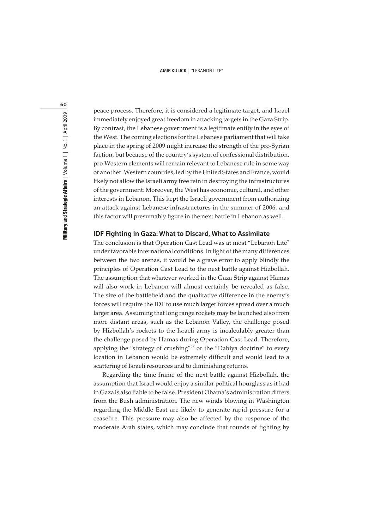60

peace process. Therefore, it is considered a legitimate target, and Israel immediately enjoyed great freedom in attacking targets in the Gaza Strip. By contrast, the Lebanese government is a legitimate entity in the eyes of the West. The coming elections for the Lebanese parliament that will take place in the spring of 2009 might increase the strength of the pro-Syrian faction, but because of the country's system of confessional distribution, pro-Western elements will remain relevant to Lebanese rule in some way or another. Western countries, led by the United States and France, would likely not allow the Israeli army free rein in destroying the infrastructures of the government. Moreover, the West has economic, cultural, and other interests in Lebanon. This kept the Israeli government from authorizing an attack against Lebanese infrastructures in the summer of 2006, and this factor will presumably figure in the next battle in Lebanon as well.

## **IDF Fighting in Gaza: What to Discard, What to Assimilate**

The conclusion is that Operation Cast Lead was at most "Lebanon Lite" under favorable international conditions. In light of the many differences between the two arenas, it would be a grave error to apply blindly the principles of Operation Cast Lead to the next battle against Hizbollah. The assumption that whatever worked in the Gaza Strip against Hamas will also work in Lebanon will almost certainly be revealed as false. The size of the battlefield and the qualitative difference in the enemy's forces will require the IDF to use much larger forces spread over a much larger area. Assuming that long range rockets may be launched also from more distant areas, such as the Lebanon Valley, the challenge posed by Hizbollah's rockets to the Israeli army is incalculably greater than the challenge posed by Hamas during Operation Cast Lead. Therefore, applying the "strategy of crushing"<sup>25</sup> or the "Dahiya doctrine" to every location in Lebanon would be extremely difficult and would lead to a scattering of Israeli resources and to diminishing returns.

Regarding the time frame of the next battle against Hizbollah, the assumption that Israel would enjoy a similar political hourglass as it had in Gaza is also liable to be false. President Obama's administration differs from the Bush administration. The new winds blowing in Washington regarding the Middle East are likely to generate rapid pressure for a ceasefire. This pressure may also be affected by the response of the moderate Arab states, which may conclude that rounds of fighting by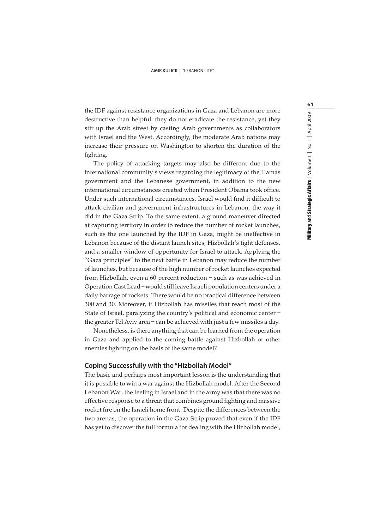the IDF against resistance organizations in Gaza and Lebanon are more destructive than helpful: they do not eradicate the resistance, yet they stir up the Arab street by casting Arab governments as collaborators with Israel and the West. Accordingly, the moderate Arab nations may increase their pressure on Washington to shorten the duration of the fighting.

The policy of attacking targets may also be different due to the international community's views regarding the legitimacy of the Hamas government and the Lebanese government, in addition to the new international circumstances created when President Obama took office. Under such international circumstances, Israel would find it difficult to attack civilian and government infrastructures in Lebanon, the way it did in the Gaza Strip. To the same extent, a ground maneuver directed at capturing territory in order to reduce the number of rocket launches, such as the one launched by the IDF in Gaza, might be ineffective in Lebanon because of the distant launch sites, Hizbollah's tight defenses, and a smaller window of opportunity for Israel to attack. Applying the "Gaza principles" to the next battle in Lebanon may reduce the number of launches, but because of the high number of rocket launches expected from Hizbollah, even a 60 percent reduction – such as was achieved in Operation Cast Lead – would still leave Israeli population centers under a daily barrage of rockets. There would be no practical difference between 300 and 30. Moreover, if Hizbollah has missiles that reach most of the State of Israel, paralyzing the country's political and economic center – the greater Tel Aviv area – can be achieved with just a few missiles a day.

Nonetheless, is there anything that can be learned from the operation in Gaza and applied to the coming battle against Hizbollah or other enemies fighting on the basis of the same model?

### **Coping Successfully with the "Hizbollah Model"**

The basic and perhaps most important lesson is the understanding that it is possible to win a war against the Hizbollah model. After the Second Lebanon War, the feeling in Israel and in the army was that there was no effective response to a threat that combines ground fighting and massive rocket fire on the Israeli home front. Despite the differences between the two arenas, the operation in the Gaza Strip proved that even if the IDF has yet to discover the full formula for dealing with the Hizbollah model,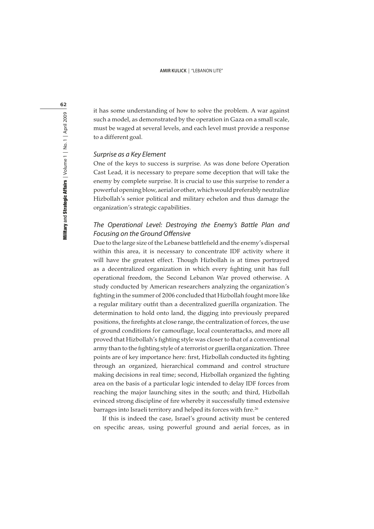it has some understanding of how to solve the problem. A war against such a model, as demonstrated by the operation in Gaza on a small scale, must be waged at several levels, and each level must provide a response to a different goal.

# Surprise as a Key Element

One of the keys to success is surprise. As was done before Operation Cast Lead, it is necessary to prepare some deception that will take the enemy by complete surprise. It is crucial to use this surprise to render a powerful opening blow, aerial or other, which would preferably neutralize Hizbollah's senior political and military echelon and thus damage the organization's strategic capabilities.

# The Operational Level: Destroying the Enemy's Battle Plan and Focusing on the Ground Offensive

Due to the large size of the Lebanese battlefield and the enemy's dispersal within this area, it is necessary to concentrate IDF activity where it will have the greatest effect. Though Hizbollah is at times portrayed as a decentralized organization in which every fighting unit has full operational freedom, the Second Lebanon War proved otherwise. A study conducted by American researchers analyzing the organization's fighting in the summer of 2006 concluded that Hizbollah fought more like a regular military outfit than a decentralized guerilla organization. The determination to hold onto land, the digging into previously prepared positions, the firefights at close range, the centralization of forces, the use of ground conditions for camouflage, local counterattacks, and more all proved that Hizbollah's fighting style was closer to that of a conventional army than to the fighting style of a terrorist or guerilla organization. Three points are of key importance here: first, Hizbollah conducted its fighting through an organized, hierarchical command and control structure making decisions in real time; second, Hizbollah organized the fighting area on the basis of a particular logic intended to delay IDF forces from reaching the major launching sites in the south; and third, Hizbollah evinced strong discipline of fire whereby it successfully timed extensive barrages into Israeli territory and helped its forces with fire.<sup>26</sup>

If this is indeed the case, Israel's ground activity must be centered on specific areas, using powerful ground and aerial forces, as in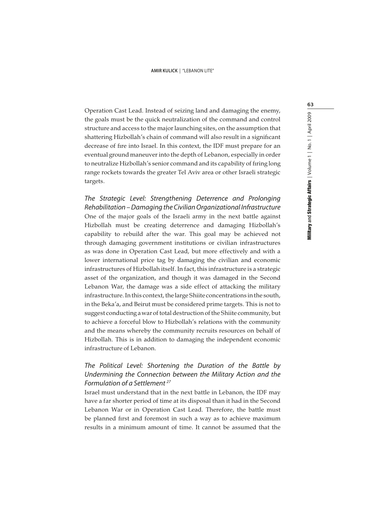Operation Cast Lead. Instead of seizing land and damaging the enemy, the goals must be the quick neutralization of the command and control structure and access to the major launching sites, on the assumption that shattering Hizbollah's chain of command will also result in a significant decrease of fire into Israel. In this context, the IDF must prepare for an eventual ground maneuver into the depth of Lebanon, especially in order to neutralize Hizbollah's senior command and its capability of firing long range rockets towards the greater Tel Aviv area or other Israeli strategic targets.

The Strategic Level: Strengthening Deterrence and Prolonging Rehabilitation – Damaging the Civilian Organizational Infrastructure One of the major goals of the Israeli army in the next battle against Hizbollah must be creating deterrence and damaging Hizbollah's capability to rebuild after the war. This goal may be achieved not through damaging government institutions or civilian infrastructures as was done in Operation Cast Lead, but more effectively and with a lower international price tag by damaging the civilian and economic infrastructures of Hizbollah itself. In fact, this infrastructure is a strategic asset of the organization, and though it was damaged in the Second Lebanon War, the damage was a side effect of attacking the military infrastructure. In this context, the large Shiite concentrations in the south, in the Beka'a, and Beirut must be considered prime targets. This is not to suggest conducting a war of total destruction of the Shiite community, but to achieve a forceful blow to Hizbollah's relations with the community and the means whereby the community recruits resources on behalf of Hizbollah. This is in addition to damaging the independent economic infrastructure of Lebanon.

# The Political Level: Shortening the Duration of the Battle by Undermining the Connection between the Military Action and the Formulation of a Settlement <sup>27</sup>

Israel must understand that in the next battle in Lebanon, the IDF may have a far shorter period of time at its disposal than it had in the Second Lebanon War or in Operation Cast Lead. Therefore, the battle must be planned first and foremost in such a way as to achieve maximum results in a minimum amount of time. It cannot be assumed that the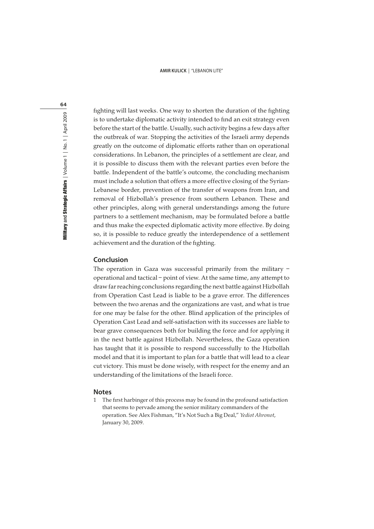fighting will last weeks. One way to shorten the duration of the fighting is to undertake diplomatic activity intended to find an exit strategy even before the start of the battle. Usually, such activity begins a few days after the outbreak of war. Stopping the activities of the Israeli army depends greatly on the outcome of diplomatic efforts rather than on operational considerations. In Lebanon, the principles of a settlement are clear, and it is possible to discuss them with the relevant parties even before the battle. Independent of the battle's outcome, the concluding mechanism must include a solution that offers a more effective closing of the Syrian-Lebanese border, prevention of the transfer of weapons from Iran, and removal of Hizbollah's presence from southern Lebanon. These and other principles, along with general understandings among the future partners to a settlement mechanism, may be formulated before a battle and thus make the expected diplomatic activity more effective. By doing so, it is possible to reduce greatly the interdependence of a settlement achievement and the duration of the fighting.

# **Conclusion**

The operation in Gaza was successful primarily from the military – operational and tactical – point of view. At the same time, any attempt to draw far reaching conclusions regarding the next battle against Hizbollah from Operation Cast Lead is liable to be a grave error. The differences between the two arenas and the organizations are vast, and what is true for one may be false for the other. Blind application of the principles of Operation Cast Lead and self-satisfaction with its successes are liable to bear grave consequences both for building the force and for applying it in the next battle against Hizbollah. Nevertheless, the Gaza operation has taught that it is possible to respond successfully to the Hizbollah model and that it is important to plan for a battle that will lead to a clear cut victory. This must be done wisely, with respect for the enemy and an understanding of the limitations of the Israeli force.

#### **Notes**

1 The first harbinger of this process may be found in the profound satisfaction that seems to pervade among the senior military commanders of the operation. See Alex Fishman, "It's Not Such a Big Deal," Yediot Ahronot, January 30, 2009.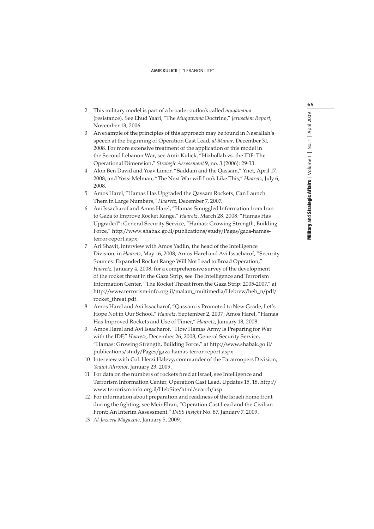- 2 This military model is part of a broader outlook called muqawama (resistance). See Ehud Yaari, "The Muqawama Doctrine," Jerusalem Report, November 13, 2006.
- 3 An example of the principles of this approach may be found in Nasrallah's speech at the beginning of Operation Cast Lead, al-Manar, December 31, 2008. For more extensive treatment of the application of this model in the Second Lebanon War, see Amir Kulick, "Hizbollah vs. the IDF: The Operational Dimension," Strategic Assessment 9, no. 3 (2006): 29-33.
- 4 Alon Ben David and Yoav Limor, "Saddam and the Qassam," Ynet, April 17, 2008; and Yossi Melman, "The Next War will Look Like This," Haaretz, July 6, 2008.
- 5 Amos Harel, "Hamas Has Upgraded the Qassam Rockets, Can Launch Them in Large Numbers," Haaretz, December 7, 2007.
- 6 Avi Issacharof and Amos Harel, "Hamas Smuggled Information from Iran to Gaza to Improve Rocket Range," Haaretz, March 28, 2008; "Hamas Has Upgraded"; General Security Service, "Hamas: Growing Strength, Building Force," http://www.shabak.go.il/publications/study/Pages/gaza-hamasterror-report.aspx.
- 7 Ari Shavit, interview with Amos Yadlin, the head of the Intelligence Division, in Haaretz, May 16, 2008; Amos Harel and Avi Issacharof, "Security Sources: Expanded Rocket Range Will Not Lead to Broad Operation," Haaretz, January 4, 2008; for a comprehensive survey of the development of the rocket threat in the Gaza Strip, see The Intelligence and Terrorism Information Center, "The Rocket Threat from the Gaza Strip: 2005-2007," at http://www.terrorism-info.org.il/malam\_multimedia/Hebrew/heb\_n/pdf/ rocket\_threat.pdf.
- 8 Amos Harel and Avi Issacharof, "Qassam is Promoted to New Grade, Let's Hope Not in Our School," Haaretz, September 2, 2007; Amos Harel, "Hamas Has Improved Rockets and Use of Timer," Haaretz, January 18, 2008.
- 9 Amos Harel and Avi Issacharof, "How Hamas Army Is Preparing for War with the IDF," Haaretz, December 26, 2008; General Security Service, "Hamas: Growing Strength, Building Force," at http://www.shabak.go.il/ publications/study/Pages/gaza-hamas-terror-report.aspx.
- 10 Interview with Col. Herzi Halevy, commander of the Paratroopers Division, Yediot Ahronot, January 23, 2009.
- 11 For data on the numbers of rockets fired at Israel, see Intelligence and Terrorism Information Center, Operation Cast Lead, Updates 15, 18, http:// www.terrorism-info.org.il/HebSite/html/search/asp.
- 12 For information about preparation and readiness of the Israeli home front during the fighting, see Meir Elran, "Operation Cast Lead and the Civilian Front: An Interim Assessment," INSS Insight No. 87, January 7, 2009.
- 13 Al-Jazeera Magazine, January 5, 2009.